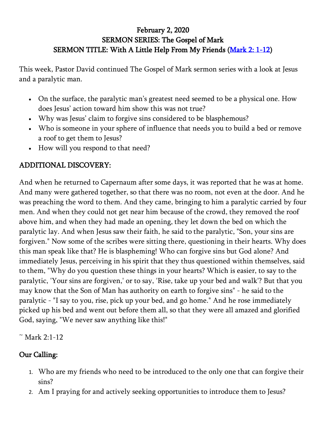## February 2, 2020 SERMON SERIES: The Gospel of Mark SERMON TITLE: With A Little Help From My Friends [\(Mark 2: 1-12\)](https://www.biblegateway.com/passage/?search=Mark+2%3A1-12&version=ESV)

This week, Pastor David continued The Gospel of Mark sermon series with a look at Jesus and a paralytic man.

- On the surface, the paralytic man's greatest need seemed to be a physical one. How does Jesus' action toward him show this was not true?
- Why was Jesus' claim to forgive sins considered to be blasphemous?
- Who is someone in your sphere of influence that needs you to build a bed or remove a roof to get them to Jesus?
- How will you respond to that need?

## ADDITIONAL DISCOVERY:

And when he returned to Capernaum after some days, it was reported that he was at home. And many were gathered together, so that there was no room, not even at the door. And he was preaching the word to them. And they came, bringing to him a paralytic carried by four men. And when they could not get near him because of the crowd, they removed the roof above him, and when they had made an opening, they let down the bed on which the paralytic lay. And when Jesus saw their faith, he said to the paralytic, "Son, your sins are forgiven." Now some of the scribes were sitting there, questioning in their hearts. Why does this man speak like that? He is blaspheming! Who can forgive sins but God alone? And immediately Jesus, perceiving in his spirit that they thus questioned within themselves, said to them, "Why do you question these things in your hearts? Which is easier, to say to the paralytic, 'Your sins are forgiven,' or to say, 'Rise, take up your bed and walk'? But that you may know that the Son of Man has authority on earth to forgive sins" - he said to the paralytic - "I say to you, rise, pick up your bed, and go home." And he rose immediately picked up his bed and went out before them all, so that they were all amazed and glorified God, saying, "We never saw anything like this!"

 $~^{\sim}$  Mark 2:1-12

## Our Calling:

- 1. Who are my friends who need to be introduced to the only one that can forgive their sins?
- 2. Am I praying for and actively seeking opportunities to introduce them to Jesus?